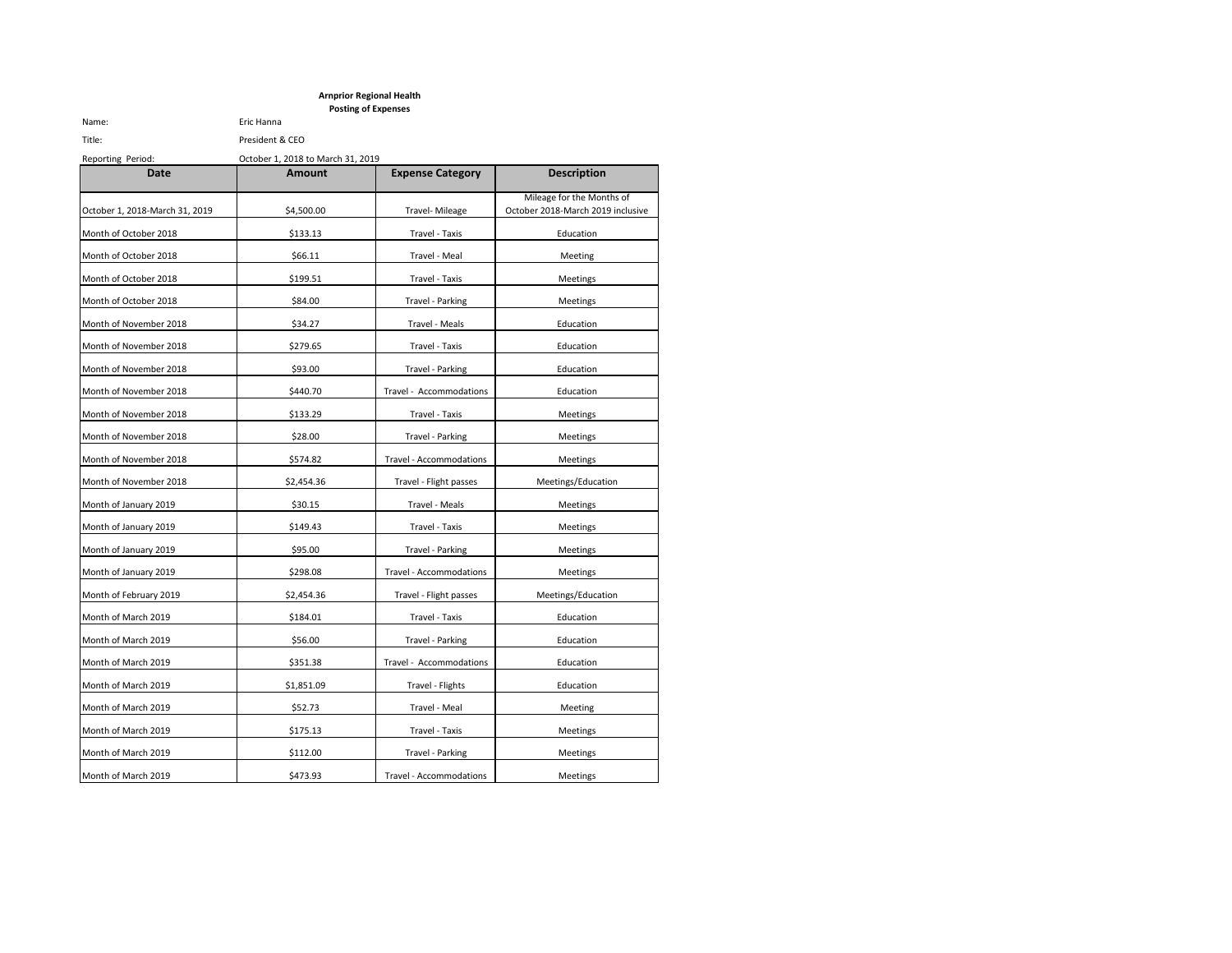## **Arnprior Regional Health Posting of Expenses**

Name: Eric Hanna

# Title: President & CEO Reporting Period: October 1, 2018 to March 31, 2019

| Date                           | <b>Amount</b> | <b>Expense Category</b> | <b>Description</b>                                             |
|--------------------------------|---------------|-------------------------|----------------------------------------------------------------|
| October 1, 2018-March 31, 2019 | \$4,500.00    | Travel- Mileage         | Mileage for the Months of<br>October 2018-March 2019 inclusive |
| Month of October 2018          | \$133.13      | Travel - Taxis          | Education                                                      |
| Month of October 2018          | \$66.11       | Travel - Meal           | Meeting                                                        |
| Month of October 2018          | \$199.51      | Travel - Taxis          | Meetings                                                       |
| Month of October 2018          | \$84.00       | Travel - Parking        | Meetings                                                       |
| Month of November 2018         | \$34.27       | Travel - Meals          | Education                                                      |
| Month of November 2018         | \$279.65      | Travel - Taxis          | Education                                                      |
| Month of November 2018         | \$93.00       | Travel - Parking        | Education                                                      |
| Month of November 2018         | \$440.70      | Travel - Accommodations | Education                                                      |
| Month of November 2018         | \$133.29      | Travel - Taxis          | Meetings                                                       |
| Month of November 2018         | \$28.00       | Travel - Parking        | Meetings                                                       |
| Month of November 2018         | \$574.82      | Travel - Accommodations | Meetings                                                       |
| Month of November 2018         | \$2,454.36    | Travel - Flight passes  | Meetings/Education                                             |
| Month of January 2019          | \$30.15       | Travel - Meals          | Meetings                                                       |
| Month of January 2019          | \$149.43      | Travel - Taxis          | Meetings                                                       |
| Month of January 2019          | \$95.00       | Travel - Parking        | Meetings                                                       |
| Month of January 2019          | \$298.08      | Travel - Accommodations | Meetings                                                       |
| Month of February 2019         | \$2,454.36    | Travel - Flight passes  | Meetings/Education                                             |
| Month of March 2019            | \$184.01      | Travel - Taxis          | Education                                                      |
| Month of March 2019            | \$56.00       | Travel - Parking        | Education                                                      |
| Month of March 2019            | \$351.38      | Travel - Accommodations | Education                                                      |
| Month of March 2019            | \$1,851.09    | Travel - Flights        | Education                                                      |
| Month of March 2019            | \$52.73       | Travel - Meal           | Meeting                                                        |
| Month of March 2019            | \$175.13      | Travel - Taxis          | Meetings                                                       |
| Month of March 2019            | \$112.00      | Travel - Parking        | Meetings                                                       |
| Month of March 2019            | \$473.93      | Travel - Accommodations | Meetings                                                       |